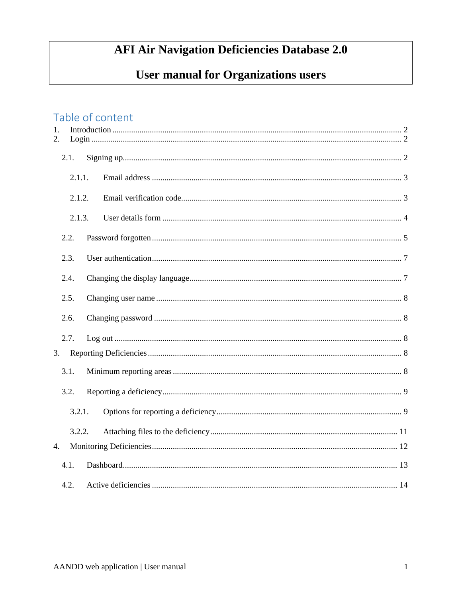# **AFI Air Navigation Deficiencies Database 2.0**

# **User manual for Organizations users**

# Table of content

| 1.<br>2.         |      |        |  |  |
|------------------|------|--------|--|--|
|                  | 2.1. |        |  |  |
|                  |      | 2.1.1. |  |  |
|                  |      | 2.1.2. |  |  |
|                  |      | 2.1.3. |  |  |
|                  | 2.2. |        |  |  |
|                  | 2.3. |        |  |  |
|                  | 2.4. |        |  |  |
|                  | 2.5. |        |  |  |
|                  | 2.6. |        |  |  |
|                  | 2.7. |        |  |  |
| 3.               |      |        |  |  |
|                  | 3.1. |        |  |  |
|                  | 3.2. |        |  |  |
|                  |      | 3.2.1. |  |  |
|                  |      | 3.2.2. |  |  |
| $\overline{4}$ . |      |        |  |  |
|                  | 4.1. |        |  |  |
|                  | 4.2. |        |  |  |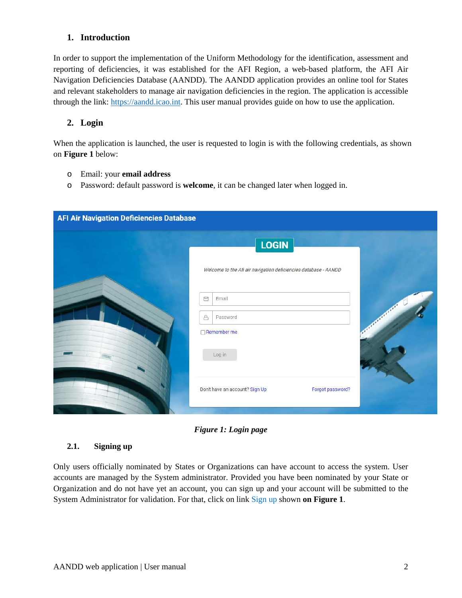### <span id="page-1-0"></span>**1. Introduction**

In order to support the implementation of the Uniform Methodology for the identification, assessment and reporting of deficiencies, it was established for the AFI Region, a web-based platform, the AFI Air Navigation Deficiencies Database (AANDD). The AANDD application provides an online tool for States and relevant stakeholders to manage air navigation deficiencies in the region. The application is accessible through the link: [https://aandd.icao.int.](https://aandd.icao.int/) This user manual provides guide on how to use the application.

# <span id="page-1-1"></span>**2. Login**

When the application is launched, the user is requested to login is with the following credentials, as shown on **Figure 1** below:

- o Email: your **email address**
- o Password: default password is **welcome**, it can be changed later when logged in.

| <b>AFI Air Navigation Deficiencies Database</b> |                                                                 |
|-------------------------------------------------|-----------------------------------------------------------------|
|                                                 | <b>LOGIN</b>                                                    |
|                                                 | Welcome to the Afi air navigation deficiencies database - AANDD |
|                                                 | Email<br>◘                                                      |
|                                                 | Samuel Charles<br>Password<br>$\triangle$<br>Remember me        |
|                                                 | Log in                                                          |
|                                                 |                                                                 |
|                                                 | Don't have an account? Sign Up<br>Forgot password?              |

*Figure 1: Login page*

#### <span id="page-1-2"></span>**2.1. Signing up**

Only users officially nominated by States or Organizations can have account to access the system. User accounts are managed by the System administrator. Provided you have been nominated by your State or Organization and do not have yet an account, you can sign up and your account will be submitted to the System Administrator for validation. For that, click on link Sign up shown **on Figure 1**.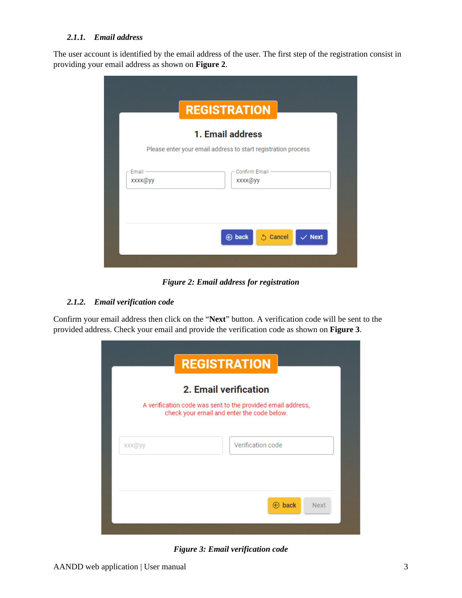#### <span id="page-2-0"></span>*2.1.1. Email address*

The user account is identified by the email address of the user. The first step of the registration consist in providing your email address as shown on **Figure 2**.

|                    | <b>REGISTRATION</b>                                           |
|--------------------|---------------------------------------------------------------|
|                    | 1. Email address                                              |
|                    | Please enter your email address to start registration process |
| Email -<br>xxxx@yy | Confirm Email -<br>xxxx@yy                                    |
|                    | $\checkmark$ Next<br>ර Cancel<br>$\odot$ back                 |

*Figure 2: Email address for registration*

#### <span id="page-2-1"></span>*2.1.2. Email verification code*

Confirm your email address then click on the "**Next**" button. A verification code will be sent to the provided address. Check your email and provide the verification code as shown on **Figure 3**.

|        |                       | <b>REGISTRATION</b>                                                                                       |             |
|--------|-----------------------|-----------------------------------------------------------------------------------------------------------|-------------|
|        | 2. Email verification |                                                                                                           |             |
|        |                       | A verification code was sent to the provided email address,<br>check your email and enter the code below. |             |
|        |                       |                                                                                                           |             |
| XXX@yy |                       | Verification code                                                                                         |             |
|        |                       |                                                                                                           |             |
|        |                       |                                                                                                           |             |
|        |                       | back<br>⊛                                                                                                 | <b>Next</b> |
|        |                       |                                                                                                           |             |

*Figure 3: Email verification code*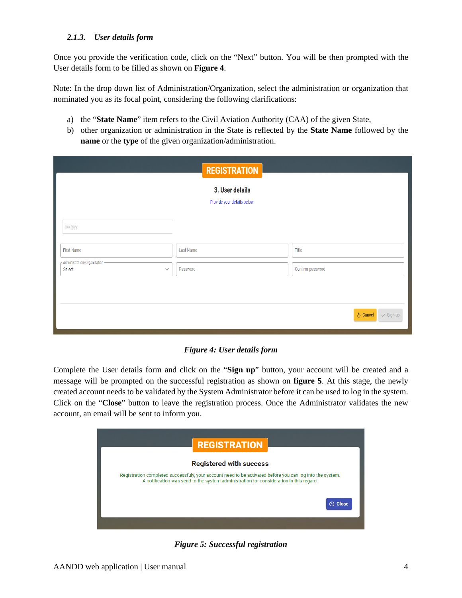#### <span id="page-3-0"></span>*2.1.3. User details form*

Once you provide the verification code, click on the "Next" button. You will be then prompted with the User details form to be filled as shown on **Figure 4**.

Note: In the drop down list of Administration/Organization, select the administration or organization that nominated you as its focal point, considering the following clarifications:

- a) the "**State Name**" item refers to the Civil Aviation Authority (CAA) of the given State,
- b) other organization or administration in the State is reflected by the **State Name** followed by the **name** or the **type** of the given organization/administration.

|                                                         | <b>REGISTRATION</b>                            |                            |
|---------------------------------------------------------|------------------------------------------------|----------------------------|
|                                                         | 3. User details<br>Provide your details below. |                            |
| xxx@yy                                                  |                                                |                            |
| <b>First Name</b>                                       | Last Name                                      | Title                      |
| - Administration/Organization<br>Select<br>$\checkmark$ | Password                                       | Confirm password           |
|                                                         |                                                |                            |
|                                                         |                                                | ර Cancel<br>$\vee$ Sign up |

*Figure 4: User details form*

Complete the User details form and click on the "**Sign up**" button, your account will be created and a message will be prompted on the successful registration as shown on **figure 5**. At this stage, the newly created account needs to be validated by the System Administrator before it can be used to log in the system. Click on the "**Close**" button to leave the registration process. Once the Administrator validates the new account, an email will be sent to inform you.



*Figure 5: Successful registration*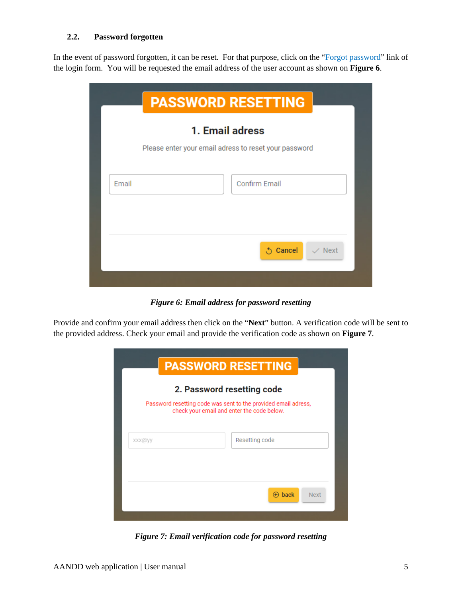#### <span id="page-4-0"></span>**2.2. Password forgotten**

In the event of password forgotten, it can be reset. For that purpose, click on the "Forgot password" link of the login form. You will be requested the email address of the user account as shown on **Figure 6**.

|       | <b>PASSWORD RESETTING</b>                                                |
|-------|--------------------------------------------------------------------------|
|       | 1. Email adress<br>Please enter your email adress to reset your password |
| Email | Confirm Email                                                            |
|       |                                                                          |
|       | <b>S</b> Cancel<br>$\vee$ Next                                           |
|       |                                                                          |

*Figure 6: Email address for password resetting*

Provide and confirm your email address then click on the "**Next**" button. A verification code will be sent to the provided address. Check your email and provide the verification code as shown on **Figure 7**.

|        | <b>PASSWORD RESETTING</b>                                                                                    |
|--------|--------------------------------------------------------------------------------------------------------------|
|        | 2. Password resetting code                                                                                   |
|        | Password resetting code was sent to the provided email adress,<br>check your email and enter the code below. |
| XXX@VV | Resetting code                                                                                               |
|        | $\odot$ back<br><b>Next</b>                                                                                  |
|        |                                                                                                              |

*Figure 7: Email verification code for password resetting*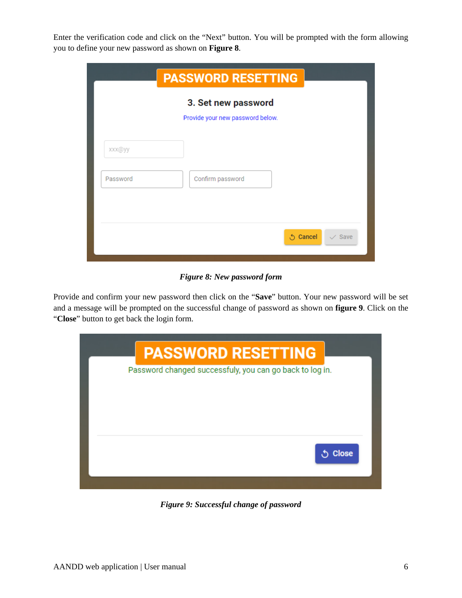Enter the verification code and click on the "Next" button. You will be prompted with the form allowing you to define your new password as shown on **Figure 8**.

|          | <b>PASSWORD RESETTING</b>        |
|----------|----------------------------------|
|          | 3. Set new password              |
|          | Provide your new password below. |
| xxx@yy   |                                  |
| Password | Confirm password                 |
|          |                                  |
|          | ර Cancel<br>$\vee$ Save          |
|          |                                  |

*Figure 8: New password form*

Provide and confirm your new password then click on the "**Save**" button. Your new password will be set and a message will be prompted on the successful change of password as shown on **figure 9**. Click on the "**Close**" button to get back the login form.

| <b>PASSWORD RESETTING</b><br>Password changed successfuly, you can go back to log in. |
|---------------------------------------------------------------------------------------|
| <b>Close</b>                                                                          |

*Figure 9: Successful change of password*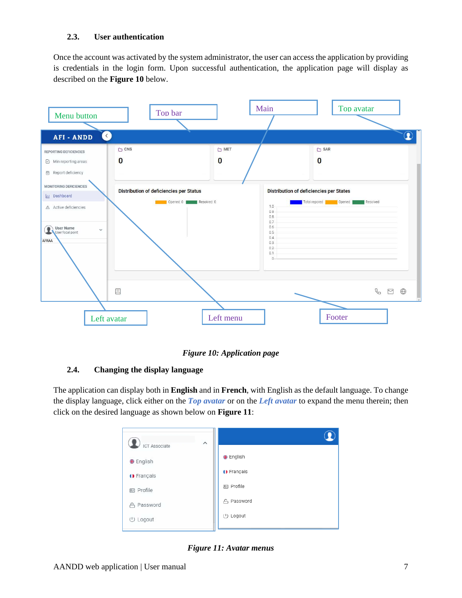#### <span id="page-6-0"></span>**2.3. User authentication**

Once the account was activated by the system administrator, the user can access the application by providing is credentials in the login form. Upon successful authentication, the application page will display as described on the **Figure 10** below.



#### *Figure 10: Application page*

# <span id="page-6-1"></span>**2.4. Changing the display language**

The application can display both in **English** and in **French**, with English as the default language. To change the display language, click either on the *Top avatar* or on the *Left avatar* to expand the menu therein; then click on the desired language as shown below on **Figure 11**:



*Figure 11: Avatar menus*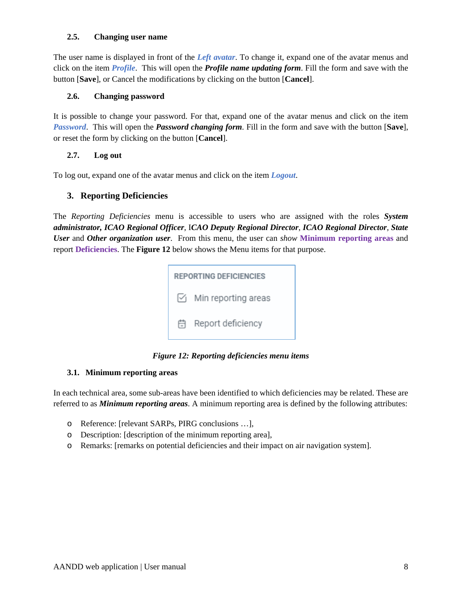#### <span id="page-7-0"></span>**2.5. Changing user name**

The user name is displayed in front of the *Left avatar*. To change it, expand one of the avatar menus and click on the item *Profile*. This will open the *Profile name updating form*. Fill the form and save with the button [**Save**], or Cancel the modifications by clicking on the button [**Cancel**].

#### <span id="page-7-1"></span>**2.6. Changing password**

It is possible to change your password. For that, expand one of the avatar menus and click on the item *Password*. This will open the *Password changing form*. Fill in the form and save with the button [**Save**], or reset the form by clicking on the button [**Cancel**].

#### <span id="page-7-2"></span>**2.7. Log out**

To log out, expand one of the avatar menus and click on the item *Logout*.

### <span id="page-7-3"></span>**3. Reporting Deficiencies**

The *Reporting Deficiencies* menu is accessible to users who are assigned with the roles *System administrator, ICAO Regional Officer*, I*CAO Deputy Regional Director*, *ICAO Regional Director*, *State User* and *Other organization user*. From this menu, the user can *show* **Minimum reporting areas** and report **Deficiencies**. The **Figure 12** below shows the Menu items for that purpose.



*Figure 12: Reporting deficiencies menu items*

#### <span id="page-7-4"></span>**3.1. Minimum reporting areas**

In each technical area, some sub-areas have been identified to which deficiencies may be related. These are referred to as *Minimum reporting areas*. A minimum reporting area is defined by the following attributes:

- o Reference: [relevant SARPs, PIRG conclusions …],
- o Description: [description of the minimum reporting area],
- o Remarks: [remarks on potential deficiencies and their impact on air navigation system].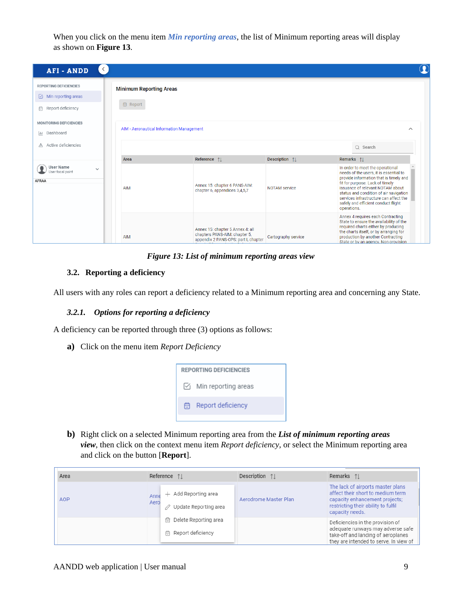When you click on the menu item *Min reporting areas*, the list of Minimum reporting areas will display as shown on **Figure 13**.

| $\langle$<br><b>AFI-ANDD</b>                                         |                                           |                                                                                                           |                      |                                                                                                                                                                                                                                                                                                                                       |
|----------------------------------------------------------------------|-------------------------------------------|-----------------------------------------------------------------------------------------------------------|----------------------|---------------------------------------------------------------------------------------------------------------------------------------------------------------------------------------------------------------------------------------------------------------------------------------------------------------------------------------|
| <b>REPORTING DEFICIENCIES</b>                                        | <b>Minimum Reporting Areas</b>            |                                                                                                           |                      |                                                                                                                                                                                                                                                                                                                                       |
| $\boxdot$ Min reporting areas                                        |                                           |                                                                                                           |                      |                                                                                                                                                                                                                                                                                                                                       |
| Report deficiency<br>自                                               | <b>自 Report</b>                           |                                                                                                           |                      |                                                                                                                                                                                                                                                                                                                                       |
| <b>MONITORING DEFICIENCIES</b><br>In Dashboard                       | AIM - Aeronautical Information Management |                                                                                                           |                      | $\wedge$                                                                                                                                                                                                                                                                                                                              |
| Active deficiencies<br>$\triangle$                                   |                                           |                                                                                                           |                      | $Q$ Search                                                                                                                                                                                                                                                                                                                            |
|                                                                      | Area                                      | Reference 11                                                                                              | Description 1        | Remarks 11                                                                                                                                                                                                                                                                                                                            |
| <b>User Name</b><br>$\checkmark$<br>User focal point<br><b>AFRAA</b> | <b>AIM</b>                                | Annex 15: chapter 6 PANS-AIM:<br>chapter 6, appendices 3,4,5,7                                            | <b>NOTAM service</b> | In order to meet the operational<br>needs of the users, it is essential to<br>provide information that is timely and<br>fit for purpose. Lack of timely<br>issuance of relevant NOTAM about<br>status and condition of air navigation<br>services infrastructure can affect the<br>safely and efficient conduct flight<br>operations. |
|                                                                      | <b>AIM</b>                                | Annex 15: chapter 5 Annex 4: all<br>chapters PANS-AIM: chapter 5,<br>appendix 2 PANS-OPS: part I, chapter | Cartography service  | Annex 4 requires each Contracting<br>State to ensure the availability of the<br>required charts either by producing<br>the charts itself, or by arranging for<br>production by another Contracting<br>State or by an agency. Non-provision                                                                                            |

*Figure 13: List of minimum reporting areas view*

#### <span id="page-8-0"></span>**3.2. Reporting a deficiency**

All users with any roles can report a deficiency related to a Minimum reporting area and concerning any State.

#### <span id="page-8-1"></span>*3.2.1. Options for reporting a deficiency*

A deficiency can be reported through three (3) options as follows:

**a)** Click on the menu item *Report Deficiency*



**b)** Right click on a selected Minimum reporting area from the *List of minimum reporting areas view*, then click on the context menu item *Report deficiency*, or select the Minimum reporting area and click on the button [**Report**].

| Area       | Reference 1.                                                | Description 1         | Remarks 1.                                                                                                                                                         |
|------------|-------------------------------------------------------------|-----------------------|--------------------------------------------------------------------------------------------------------------------------------------------------------------------|
| <b>AOP</b> | Add Reporting area<br>Anne<br>Aero<br>Update Reporting area | Aerodrome Master Plan | The lack of airports master plans<br>affect their short to medium term<br>capacity enhancement projects;<br>restricting their ability to fulfil<br>capacity needs. |
|            | Delete Reporting area<br>m.<br>兽 Report deficiency          |                       | Deficiencies in the provision of<br>adequate runways may adverse safe<br>take-off and landing of aeroplanes<br>they are intended to serve. In view of              |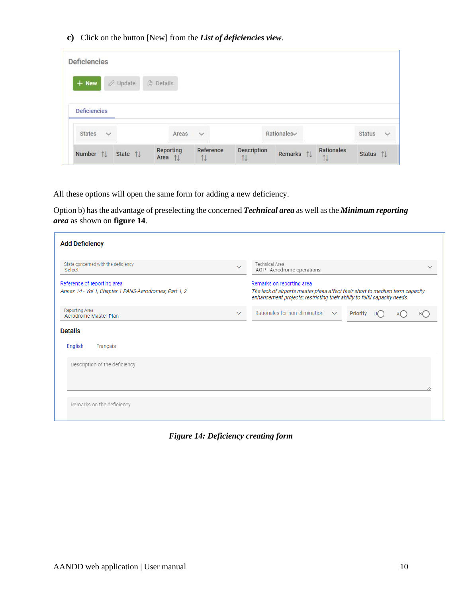**c)** Click on the button [New] from the *List of deficiencies view*.

| <b>Deficiencies</b> |             |                     |                  |              |            |               |              |
|---------------------|-------------|---------------------|------------------|--------------|------------|---------------|--------------|
| $+$ New             |             | $\mathcal O$ Update | <b>① Details</b> |              |            |               |              |
|                     |             |                     |                  |              |            |               |              |
|                     |             |                     |                  |              |            |               |              |
| <b>Deficiencies</b> |             |                     |                  |              |            |               |              |
|                     |             |                     |                  |              |            |               |              |
| States              | $\check{~}$ |                     | Areas            | $\checkmark$ | Rationales | <b>Status</b> | $\checkmark$ |

All these options will open the same form for adding a new deficiency.

Option b) has the advantage of preselecting the concerned *Technical area* as well as the *Minimum reporting area* as shown on **figure 14**.

| <b>Add Deficiency</b>                                                                 |                                                                                                                                                                                        |  |  |  |  |  |  |
|---------------------------------------------------------------------------------------|----------------------------------------------------------------------------------------------------------------------------------------------------------------------------------------|--|--|--|--|--|--|
| State concerned with the deficiency<br>Select                                         | Technical Area<br>$\checkmark$<br>AOP - Aerodrome operations                                                                                                                           |  |  |  |  |  |  |
| Reference of reporting area<br>Annex 14 - Vol 1, Chapter 1 PANS-Aerodromes, Part 1, 2 | Remarks on reporting area<br>The lack of airports master plans affect their short to medium term capacity<br>enhancement projects; restricting their ability to fulfil capacity needs. |  |  |  |  |  |  |
| Reporting Area<br>Aerodrome Master Plan                                               | Rationales for non elimination $\sim$<br><b>Priority</b><br>$\checkmark$                                                                                                               |  |  |  |  |  |  |
| <b>Details</b>                                                                        |                                                                                                                                                                                        |  |  |  |  |  |  |
| English<br>Français                                                                   |                                                                                                                                                                                        |  |  |  |  |  |  |
| Description of the deficiency                                                         |                                                                                                                                                                                        |  |  |  |  |  |  |
| Remarks on the deficiency                                                             |                                                                                                                                                                                        |  |  |  |  |  |  |

*Figure 14: Deficiency creating form*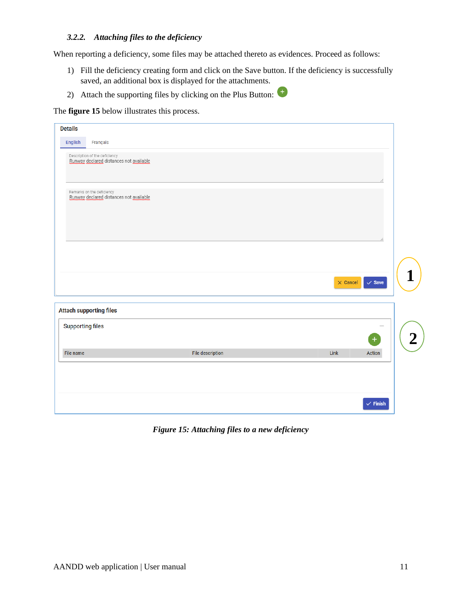#### <span id="page-10-0"></span>*3.2.2. Attaching files to the deficiency*

When reporting a deficiency, some files may be attached thereto as evidences. Proceed as follows:

- 1) Fill the deficiency creating form and click on the Save button. If the deficiency is successfully saved, an additional box is displayed for the attachments.
- 2) Attach the supporting files by clicking on the Plus Button:

#### The **figure 15** below illustrates this process.

| <b>Details</b>          |                                                                          |                  |  |                 |                     |  |
|-------------------------|--------------------------------------------------------------------------|------------------|--|-----------------|---------------------|--|
| English                 | Français                                                                 |                  |  |                 |                     |  |
|                         | Description of the deficiency<br>Runway declared distances not available |                  |  |                 |                     |  |
|                         | Remarks on the deficiency<br>Runway declared distances not available     |                  |  |                 |                     |  |
|                         |                                                                          |                  |  |                 |                     |  |
|                         |                                                                          |                  |  |                 |                     |  |
|                         |                                                                          |                  |  | $\times$ Cancel | $\checkmark$ Save   |  |
|                         | <b>Attach supporting files</b>                                           |                  |  |                 |                     |  |
| <b>Supporting files</b> |                                                                          |                  |  |                 |                     |  |
| File name               |                                                                          | File description |  | Link            | Action              |  |
|                         |                                                                          |                  |  |                 |                     |  |
|                         |                                                                          |                  |  |                 |                     |  |
|                         |                                                                          |                  |  |                 | $\checkmark$ Finish |  |

*Figure 15: Attaching files to a new deficiency*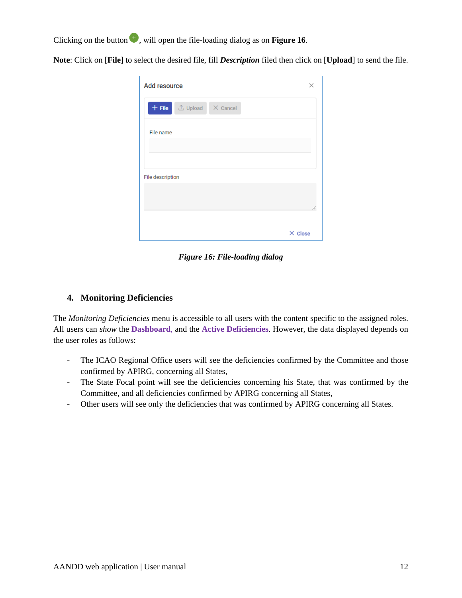Clicking on the button  $\uparrow$ , will open the file-loading dialog as on **Figure 16**.

**Note**: Click on [**File**] to select the desired file, fill *Description* filed then click on [**Upload**] to send the file.

| Add resource                  | ×              |
|-------------------------------|----------------|
| ① Upload X Cancel<br>$+$ File |                |
| File name                     |                |
|                               |                |
| File description              |                |
|                               |                |
|                               |                |
|                               | $\times$ Close |

*Figure 16: File-loading dialog*

# <span id="page-11-0"></span>**4. Monitoring Deficiencies**

The *Monitoring Deficiencies* menu is accessible to all users with the content specific to the assigned roles. All users can *show* the **Dashboard**, and the **Active Deficiencies**. However, the data displayed depends on the user roles as follows:

- The ICAO Regional Office users will see the deficiencies confirmed by the Committee and those confirmed by APIRG, concerning all States,
- The State Focal point will see the deficiencies concerning his State, that was confirmed by the Committee, and all deficiencies confirmed by APIRG concerning all States,
- Other users will see only the deficiencies that was confirmed by APIRG concerning all States.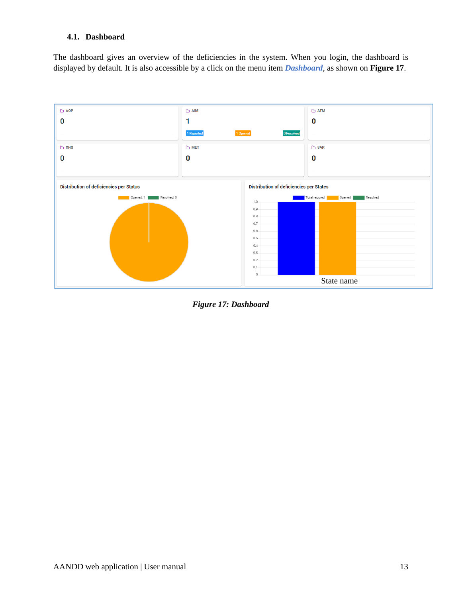#### <span id="page-12-0"></span>**4.1. Dashboard**

The dashboard gives an overview of the deficiencies in the system. When you login, the dashboard is displayed by default. It is also accessible by a click on the menu item *Dashboard*, as shown on **Figure 17**.



*Figure 17: Dashboard*